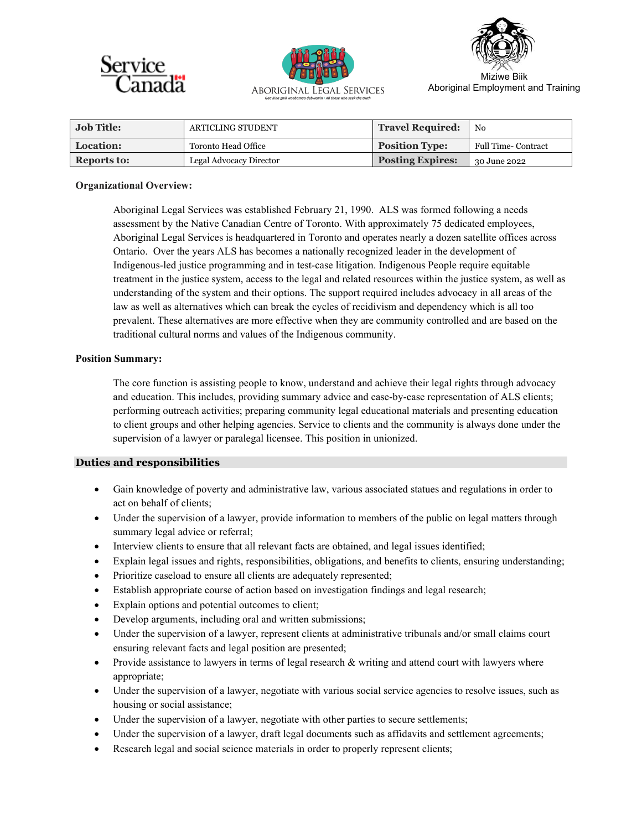





Aboriginal Employment and Training

| <b>Job Title:</b>  | ARTICLING STUDENT       | <b>Travel Required:</b> | $'$ No                     |
|--------------------|-------------------------|-------------------------|----------------------------|
| Location:          | Toronto Head Office     | <b>Position Type:</b>   | <b>Full Time- Contract</b> |
| <b>Reports to:</b> | Legal Advocacy Director | <b>Posting Expires:</b> | 30 June 2022               |

### **Organizational Overview:**

Aboriginal Legal Services was established February 21, 1990. ALS was formed following a needs assessment by the Native Canadian Centre of Toronto. With approximately 75 dedicated employees, Aboriginal Legal Services is headquartered in Toronto and operates nearly a dozen satellite offices across Ontario. Over the years ALS has becomes a nationally recognized leader in the development of Indigenous-led justice programming and in test-case litigation. Indigenous People require equitable treatment in the justice system, access to the legal and related resources within the justice system, as well as understanding of the system and their options. The support required includes advocacy in all areas of the law as well as alternatives which can break the cycles of recidivism and dependency which is all too prevalent. These alternatives are more effective when they are community controlled and are based on the traditional cultural norms and values of the Indigenous community.

### **Position Summary:**

The core function is assisting people to know, understand and achieve their legal rights through advocacy and education. This includes, providing summary advice and case-by-case representation of ALS clients; performing outreach activities; preparing community legal educational materials and presenting education to client groups and other helping agencies. Service to clients and the community is always done under the supervision of a lawyer or paralegal licensee. This position in unionized.

# **Duties and responsibilities**

- Gain knowledge of poverty and administrative law, various associated statues and regulations in order to act on behalf of clients;
- Under the supervision of a lawyer, provide information to members of the public on legal matters through summary legal advice or referral;
- Interview clients to ensure that all relevant facts are obtained, and legal issues identified;
- Explain legal issues and rights, responsibilities, obligations, and benefits to clients, ensuring understanding;
- Prioritize caseload to ensure all clients are adequately represented;
- Establish appropriate course of action based on investigation findings and legal research;
- Explain options and potential outcomes to client;
- Develop arguments, including oral and written submissions;
- Under the supervision of a lawyer, represent clients at administrative tribunals and/or small claims court ensuring relevant facts and legal position are presented;
- Provide assistance to lawyers in terms of legal research & writing and attend court with lawyers where appropriate;
- Under the supervision of a lawyer, negotiate with various social service agencies to resolve issues, such as housing or social assistance;
- Under the supervision of a lawyer, negotiate with other parties to secure settlements;
- Under the supervision of a lawyer, draft legal documents such as affidavits and settlement agreements;
- Research legal and social science materials in order to properly represent clients;